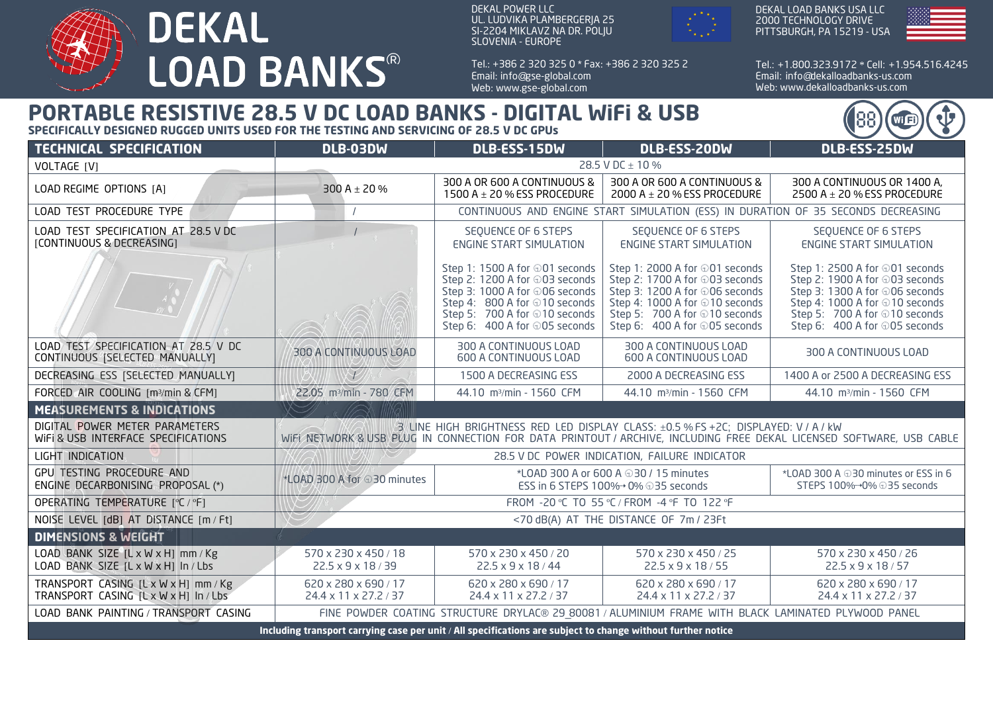

DEKAL POWER LLC UL. LUDVIKA PLAMBERGERJA 25 SI-2204 MIKLAVZ NA DR. POLJU SLOVENIA - EUROPE

Tel.: + 386 2 320 325 0 \* Fax: + 386 2 320 325 2 Email: info@gse-global.com Web: www.gse-global.com



DEKAL LOAD BANKS USA LLC 2000 TECHNOLOGY DRIVE PITTSBURGH, PA 15219 - USA



Tel.: + 1.800.323.9172 \* Cell: + 1.954.516.4245 Email: info@dekalloadbanks-us.com Web: www.dekalloadbanks-us.com

88

**Wi** 日

## **PORTABLE RESISTIVE 28.5 V DC LOAD BANKS - DIGITAL WiFi & USB**

**SPECIFICALLY DESIGNED RUGGED UNITS USED FOR THE TESTING AND SERVICING OF 28.5 V DC GPUs**

| <b>TECHNICAL SPECIFICATION</b>                                                                               | DLB-03DW                                                                                                                                                                                                   | DLB-ESS-15DW                                                                                                                                                                                                  | DLB-ESS-20DW                                                                                                                                                                                                   | DLB-ESS-25DW                                                                                                                                                                                                   |
|--------------------------------------------------------------------------------------------------------------|------------------------------------------------------------------------------------------------------------------------------------------------------------------------------------------------------------|---------------------------------------------------------------------------------------------------------------------------------------------------------------------------------------------------------------|----------------------------------------------------------------------------------------------------------------------------------------------------------------------------------------------------------------|----------------------------------------------------------------------------------------------------------------------------------------------------------------------------------------------------------------|
| VOLTAGE [V]                                                                                                  | 28.5 V DC ± 10 %                                                                                                                                                                                           |                                                                                                                                                                                                               |                                                                                                                                                                                                                |                                                                                                                                                                                                                |
| LOAD REGIME OPTIONS [A]                                                                                      | 300 A $\pm$ 20 %                                                                                                                                                                                           | 300 A OR 600 A CONTINUOUS &<br>1500 A $\pm$ 20 % ESS PROCEDURE                                                                                                                                                | 300 A OR 600 A CONTINUOUS &<br>2000 A $\pm$ 20 % ESS PROCEDURE                                                                                                                                                 | 300 A CONTINUOUS OR 1400 A,<br>2500 A $\pm$ 20 % ESS PROCEDURE                                                                                                                                                 |
| LOAD TEST PROCEDURE TYPE                                                                                     | CONTINUOUS AND ENGINE START SIMULATION (ESS) IN DURATION OF 35 SECONDS DECREASING                                                                                                                          |                                                                                                                                                                                                               |                                                                                                                                                                                                                |                                                                                                                                                                                                                |
| LOAD TEST SPECIFICATION AT 28.5 V DC<br>[CONTINUOUS & DECREASING]                                            |                                                                                                                                                                                                            | SEQUENCE OF 6 STEPS<br><b>ENGINE START SIMULATION</b>                                                                                                                                                         | SEQUENCE OF 6 STEPS<br><b>ENGINE START SIMULATION</b>                                                                                                                                                          | SEQUENCE OF 6 STEPS<br><b>ENGINE START SIMULATION</b>                                                                                                                                                          |
|                                                                                                              |                                                                                                                                                                                                            | Step 1: 1500 A for $\oplus$ 01 seconds<br>Step 2: 1200 A for ⊕03 seconds<br>Step 3: 1000 A for ⊕06 seconds<br>Step 4: 800 A for ⊕10 seconds<br>Step 5: 700 A for ⊕10 seconds<br>Step 6: 400 A for ⊕05 seconds | Step 1: 2000 A for $\oplus$ 01 seconds<br>Step 2: 1700 A for ⊕03 seconds<br>Step 3: 1200 A for ⊕06 seconds<br>Step 4: 1000 A for ⊕10 seconds<br>Step 5: 700 A for ⊕10 seconds<br>Step 6: 400 A for ⊕05 seconds | Step 1: 2500 A for $\oplus$ 01 seconds<br>Step 2: 1900 A for ⊕03 seconds<br>Step 3: 1300 A for ⊕06 seconds<br>Step 4: 1000 A for ⊕10 seconds<br>Step 5: 700 A for ⊕10 seconds<br>Step 6: 400 A for ⊕05 seconds |
| LOAD TEST SPECIFICATION AT 28.5 V DC<br>CONTINUOUS (SELECTED MANUALLY)                                       | 300 A CONTINUOUS LOAD                                                                                                                                                                                      | 300 A CONTINUOUS LOAD<br><b>600 A CONTINUOUS LOAD</b>                                                                                                                                                         | 300 A CONTINUOUS LOAD<br><b>600 A CONTINUOUS LOAD</b>                                                                                                                                                          | 300 A CONTINUOUS LOAD                                                                                                                                                                                          |
| DECREASING ESS [SELECTED MANUALLY]                                                                           |                                                                                                                                                                                                            | 1500 A DECREASING ESS                                                                                                                                                                                         | 2000 A DECREASING ESS                                                                                                                                                                                          | 1400 A or 2500 A DECREASING ESS                                                                                                                                                                                |
| FORCED AIR COOLING [m3/min & CFM]                                                                            | 22.05 m <sup>3</sup> /min - 780 CFM                                                                                                                                                                        | 44.10 m <sup>3</sup> /min - 1560 CFM                                                                                                                                                                          | 44.10 m <sup>3</sup> /min - 1560 CFM                                                                                                                                                                           | 44.10 m <sup>3</sup> /min - 1560 CFM                                                                                                                                                                           |
| <b>MEASUREMENTS &amp; INDICATIONS</b>                                                                        |                                                                                                                                                                                                            |                                                                                                                                                                                                               |                                                                                                                                                                                                                |                                                                                                                                                                                                                |
| DIGITAL POWER METER PARAMETERS<br>WIFI & USB INTERFACE SPECIFICATIONS                                        | 3 LINE HIGH BRIGHTNESS RED LED DISPLAY CLASS: ±0.5 % FS +2C; DISPLAYED: V / A / kW<br>WIEL NETWORK & USB PLUG IN CONNECTION FOR DATA PRINTOUT / ARCHIVE, INCLUDING FREE DEKAL LICENSED SOFTWARE, USB CABLE |                                                                                                                                                                                                               |                                                                                                                                                                                                                |                                                                                                                                                                                                                |
| LIGHT INDICATION                                                                                             | 28.5 V DC POWER INDICATION, FAILURE INDICATOR                                                                                                                                                              |                                                                                                                                                                                                               |                                                                                                                                                                                                                |                                                                                                                                                                                                                |
| GPU TESTING PROCEDURE AND<br>ENGINE DECARBONISING PROPOSAL (*)                                               | *LOAD 300 A for 030 minutes                                                                                                                                                                                | *LOAD 300 A or 600 A $\oplus$ 30 / 15 minutes<br>ESS in 6 STEPS 100%→ 0% ⊕35 seconds                                                                                                                          |                                                                                                                                                                                                                | *LOAD 300 A $\oplus$ 30 minutes or ESS in 6<br>STEPS 100% - + 0% ⊕35 seconds                                                                                                                                   |
| OPERATING TEMPERATURE [°C / °F]                                                                              | FROM -20 °C TO 55 °C / FROM -4 °F TO 122 °F                                                                                                                                                                |                                                                                                                                                                                                               |                                                                                                                                                                                                                |                                                                                                                                                                                                                |
| NOISE LEVEL [dB] AT DISTANCE [m / Ft]                                                                        | <70 dB(A) AT THE DISTANCE OF 7m / 23Ft                                                                                                                                                                     |                                                                                                                                                                                                               |                                                                                                                                                                                                                |                                                                                                                                                                                                                |
| <b>DIMENSIONS &amp; WEIGHT</b>                                                                               |                                                                                                                                                                                                            |                                                                                                                                                                                                               |                                                                                                                                                                                                                |                                                                                                                                                                                                                |
| LOAD BANK SIZE [L x W x H] mm / Kg<br>LOAD BANK SIZE [L x W x H] In / Lbs                                    | 570 x 230 x 450 / 18<br>$22.5 \times 9 \times 18 / 39$                                                                                                                                                     | 570 x 230 x 450 / 20<br>22.5 x 9 x 18 / 44                                                                                                                                                                    | 570 x 230 x 450 / 25<br>22.5 x 9 x 18 / 55                                                                                                                                                                     | 570 x 230 x 450 / 26<br>$22.5 \times 9 \times 18 / 57$                                                                                                                                                         |
| TRANSPORT CASING [L x W x H] mm / Kg<br>TRANSPORT CASING [LxWxH] In/Lbs                                      | 620 x 280 x 690 / 17<br>24.4 x 11 x 27.2 / 37                                                                                                                                                              | 620 x 280 x 690 / 17<br>24.4 x 11 x 27.2 / 37                                                                                                                                                                 | 620 x 280 x 690 / 17<br>24.4 x 11 x 27.2 / 37                                                                                                                                                                  | 620 x 280 x 690 / 17<br>24.4 x 11 x 27.2 / 37                                                                                                                                                                  |
| LOAD BANK PAINTING / TRANSPORT CASING                                                                        | FINE POWDER COATING STRUCTURE DRYLAC® 29 80081 / ALUMINIUM FRAME WITH BLACK LAMINATED PLYWOOD PANEL                                                                                                        |                                                                                                                                                                                                               |                                                                                                                                                                                                                |                                                                                                                                                                                                                |
| Including transport carrying case per unit / All specifications are subject to change without further notice |                                                                                                                                                                                                            |                                                                                                                                                                                                               |                                                                                                                                                                                                                |                                                                                                                                                                                                                |